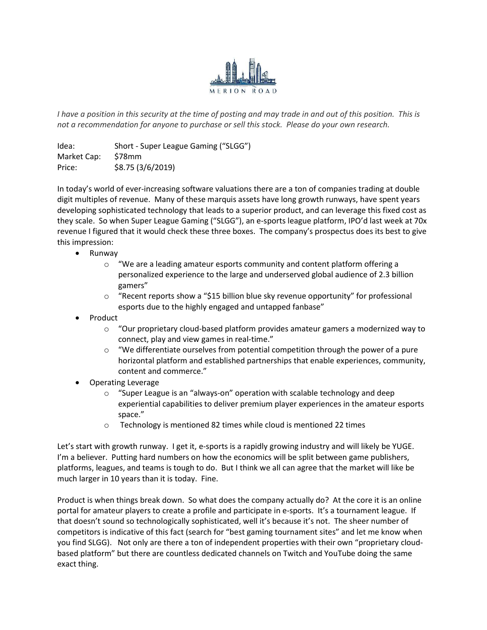

I have a position in this security at the time of posting and may trade in and out of this position. This is not a recommendation for anyone to purchase or sell this stock. Please do your own research.

Idea: Short - Super League Gaming ("SLGG") Market Cap: \$78mm Price: \$8.75 (3/6/2019)

In today's world of ever-increasing software valuations there are a ton of companies trading at double digit multiples of revenue. Many of these marquis assets have long growth runways, have spent years developing sophisticated technology that leads to a superior product, and can leverage this fixed cost as they scale. So when Super League Gaming ("SLGG"), an e-sports league platform, IPO'd last week at 70x revenue I figured that it would check these three boxes. The company's prospectus does its best to give this impression:

- Runway
	- o "We are a leading amateur esports community and content platform offering a personalized experience to the large and underserved global audience of 2.3 billion gamers"
	- $\circ$  "Recent reports show a "\$15 billion blue sky revenue opportunity" for professional esports due to the highly engaged and untapped fanbase"
- Product
	- $\circ$  "Our proprietary cloud-based platform provides amateur gamers a modernized way to connect, play and view games in real-time."
	- $\circ$  "We differentiate ourselves from potential competition through the power of a pure horizontal platform and established partnerships that enable experiences, community, content and commerce."
- Operating Leverage
	- o "Super League is an "always-on" operation with scalable technology and deep experiential capabilities to deliver premium player experiences in the amateur esports space."
	- o Technology is mentioned 82 times while cloud is mentioned 22 times

Let's start with growth runway. I get it, e-sports is a rapidly growing industry and will likely be YUGE. I'm a believer. Putting hard numbers on how the economics will be split between game publishers, platforms, leagues, and teams is tough to do. But I think we all can agree that the market will like be much larger in 10 years than it is today. Fine.

Product is when things break down. So what does the company actually do? At the core it is an online portal for amateur players to create a profile and participate in e-sports. It's a tournament league. If that doesn't sound so technologically sophisticated, well it's because it's not. The sheer number of competitors is indicative of this fact (search for "best gaming tournament sites" and let me know when you find SLGG). Not only are there a ton of independent properties with their own "proprietary cloudbased platform" but there are countless dedicated channels on Twitch and YouTube doing the same exact thing.